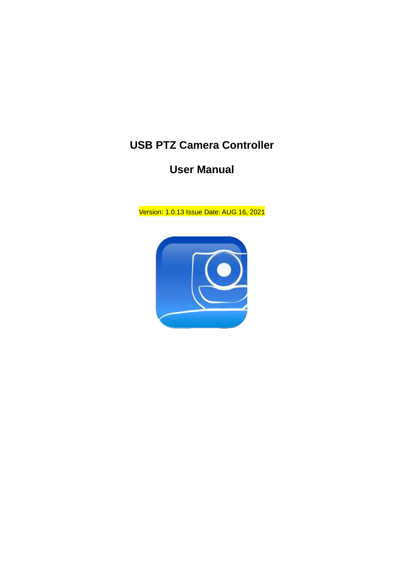### **USB PTZ Camera Controller**

### **User Manual**

Version: 1.0.13 Issue Date: AUG 16, 2021

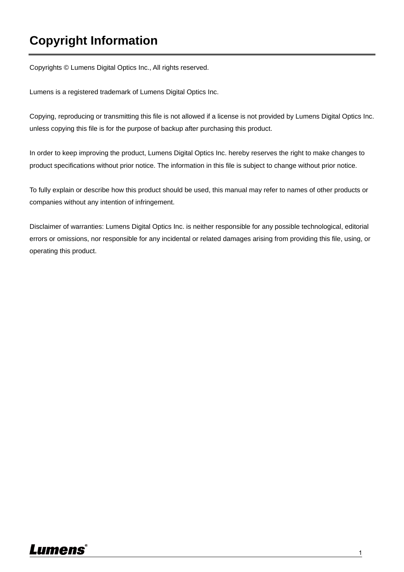### **Copyright Information**

Copyrights © Lumens Digital Optics Inc., All rights reserved.

Lumens is a registered trademark of Lumens Digital Optics Inc.

Copying, reproducing or transmitting this file is not allowed if a license is not provided by Lumens Digital Optics Inc. unless copying this file is for the purpose of backup after purchasing this product.

In order to keep improving the product, Lumens Digital Optics Inc. hereby reserves the right to make changes to product specifications without prior notice. The information in this file is subject to change without prior notice.

To fully explain or describe how this product should be used, this manual may refer to names of other products or companies without any intention of infringement.

Disclaimer of warranties: Lumens Digital Optics Inc. is neither responsible for any possible technological, editorial errors or omissions, nor responsible for any incidental or related damages arising from providing this file, using, or operating this product.

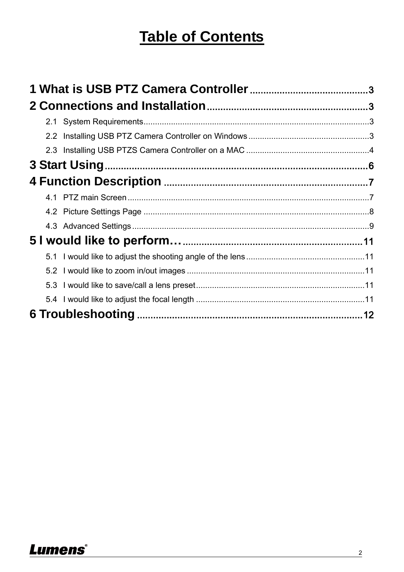# **Table of Contents**

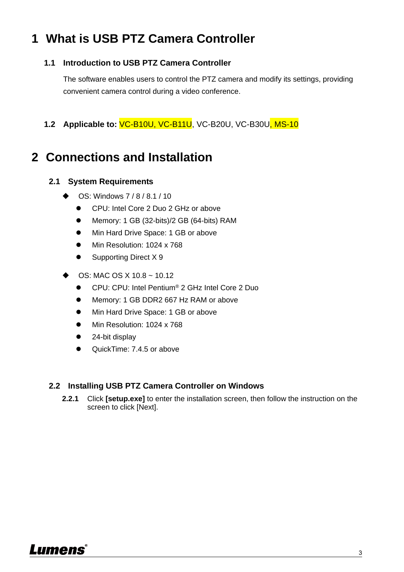### <span id="page-3-0"></span>**1 What is USB PTZ Camera Controller**

#### **1.1 Introduction to USB PTZ Camera Controller**

The software enables users to control the PTZ camera and modify its settings, providing convenient camera control during a video conference.

**1.2 Applicable to:** VC-B10U, VC-B11U, VC-B20U, VC-B30U, MS-10

### <span id="page-3-1"></span>**2 Connections and Installation**

#### <span id="page-3-2"></span>**2.1 System Requirements**

- OS: Windows 7 / 8 / 8.1 / 10
	- CPU: Intel Core 2 Duo 2 GHz or above
	- Memory: 1 GB (32-bits)/2 GB (64-bits) RAM
	- Min Hard Drive Space: 1 GB or above
	- Min Resolution: 1024 x 768
	- Supporting Direct X 9
- OS: MAC OS X 10.8 ~ 10.12
	- CPU: CPU: Intel Pentium<sup>®</sup> 2 GHz Intel Core 2 Duo
	- Memory: 1 GB DDR2 667 Hz RAM or above
	- Min Hard Drive Space: 1 GB or above
	- Min Resolution: 1024 x 768
	- 24-bit display
	- QuickTime: 7.4.5 or above

#### <span id="page-3-3"></span>**2.2 Installing USB PTZ Camera Controller on Windows**

**2.2.1** Click **[setup.exe]** to enter the installation screen, then follow the instruction on the screen to click [Next].

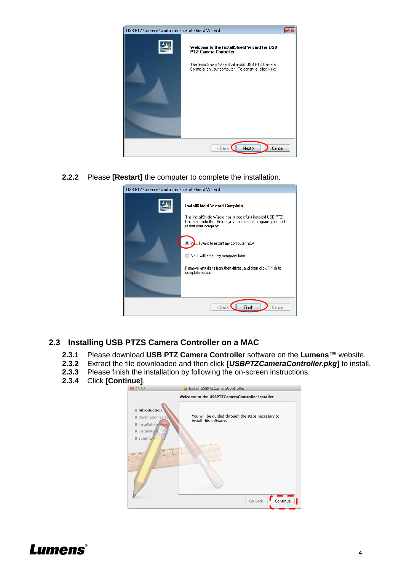

**2.2.2** Please **[Restart]** the computer to complete the installation.

| USB PTZ Camera Controller - InstallShield Wizard |                                                                                                                                                                                                                                                                                                                                                            |
|--------------------------------------------------|------------------------------------------------------------------------------------------------------------------------------------------------------------------------------------------------------------------------------------------------------------------------------------------------------------------------------------------------------------|
|                                                  | InstallShield Wizard Complete<br>The InstallShield Wizard has successfully installed USB PTZ<br>Camera Controller. Before you can use the program, you must<br>restart your computer.<br>s, I want to restart my computer now.<br>No, I will restart my computer later.<br>Remove any disks from their drives, and then click Finish to<br>complete setup. |
| <b>Finish</b><br>< Back<br>Cancel                |                                                                                                                                                                                                                                                                                                                                                            |

#### <span id="page-4-0"></span>**2.3 Installing USB PTZS Camera Controller on a MAC**

- **2.3.1** Please download **USB PTZ Camera Controller** software on the **Lumens™** website.
- **2.3.2** Extract the file downloaded and then click **[***USBPTZCameraController.pkg***]** to install.
- **2.3.3** Please finish the installation by following the on-screen instructions.
- **2.3.4** Click **[Continue]**.



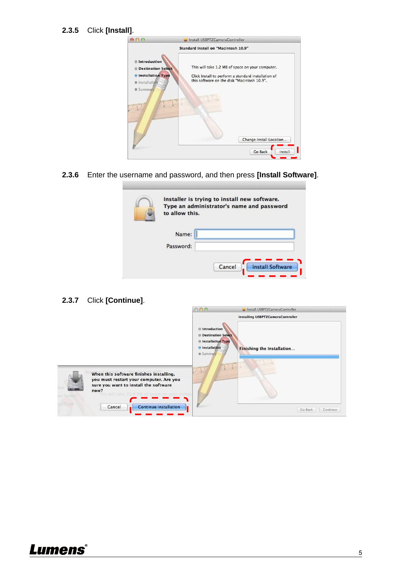#### **2.3.5** Click **[Install]**.

|                                                                                                                                                                                              | Standard Install on "Macintosh 10.9"                                                                                                                                                                    |
|----------------------------------------------------------------------------------------------------------------------------------------------------------------------------------------------|---------------------------------------------------------------------------------------------------------------------------------------------------------------------------------------------------------|
| <b>● Introduction</b><br><b>O</b> Destination Select<br><b>O</b> Installation Type<br>Installation<br><b>GO</b><br><b>Summary</b><br><b><i><u>Empirituation</u></i></b><br><b>inquapmann</b> | This will take 1.2 MB of space on your computer.<br>Click Install to perform a standard installation of<br>this software on the disk "Macintosh 10.9".<br><b>HASTERISTIC</b><br>Change Install Location |

**2.3.6** Enter the username and password, and then press **[Install Software]**.

| Installer is trying to install new software.<br>Type an administrator's name and password<br>to allow this. |  |
|-------------------------------------------------------------------------------------------------------------|--|
| Name:<br>Password:                                                                                          |  |
| <b>Install Software</b><br>Cancel                                                                           |  |

**2.3.7** Click **[Continue]**.



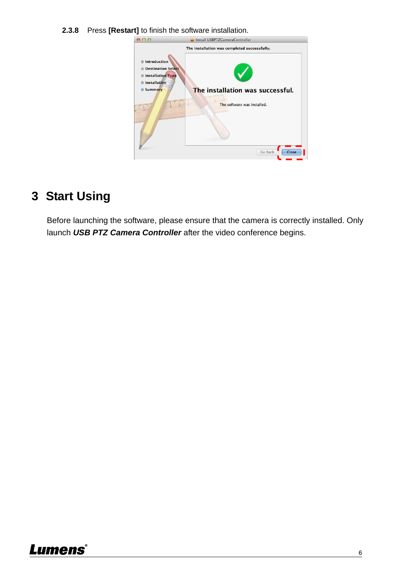**2.3.8** Press **[Restart]** to finish the software installation.



### <span id="page-6-0"></span>**3 Start Using**

Before launching the software, please ensure that the camera is correctly installed. Only launch *USB PTZ Camera Controller* after the video conference begins.

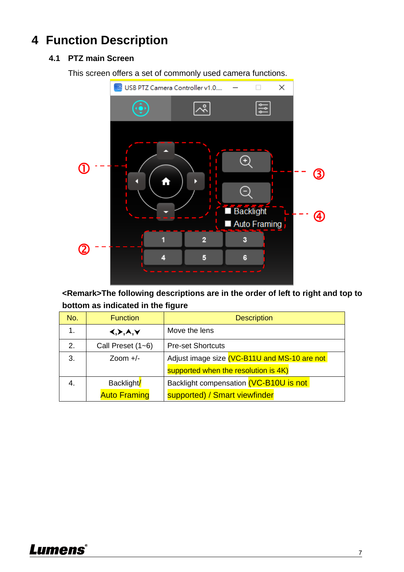## <span id="page-7-1"></span><span id="page-7-0"></span>**4 Function Description**

#### **4.1 PTZ main Screen**

This screen offers a set of commonly used camera functions.



**<Remark>The following descriptions are in the order of left to right and top to bottom as indicated in the figure**

| No. | <b>Function</b>                       | <b>Description</b>                           |
|-----|---------------------------------------|----------------------------------------------|
| 1.  | $\langle , \rangle, \lambda, \forall$ | Move the lens                                |
| 2.  | Call Preset $(1-6)$                   | <b>Pre-set Shortcuts</b>                     |
| 3.  | Zoom $+/-$                            | Adjust image size (VC-B11U and MS-10 are not |
|     |                                       | supported when the resolution is 4K)         |
| 4.  | Backlight/                            | Backlight compensation (VC-B10U is not       |
|     | <b>Auto Framing</b>                   | supported) / Smart viewfinder                |

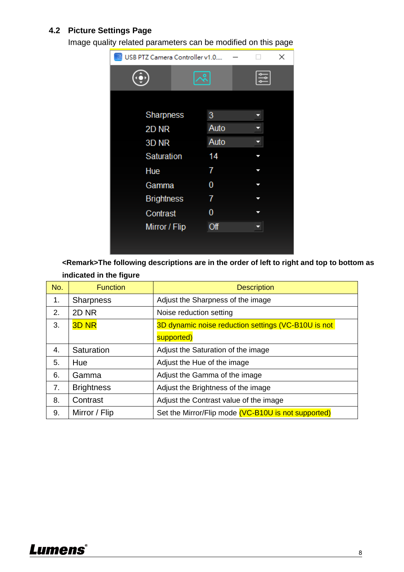#### <span id="page-8-0"></span>**4.2 Picture Settings Page**

Image quality related parameters can be modified on this page



**<Remark>The following descriptions are in the order of left to right and top to bottom as indicated in the figure**

| No. | <b>Function</b>   | <b>Description</b>                                  |
|-----|-------------------|-----------------------------------------------------|
| 1.  | <b>Sharpness</b>  | Adjust the Sharpness of the image                   |
| 2.  | 2D <sub>NR</sub>  | Noise reduction setting                             |
| 3.  | <b>3D NR</b>      | 3D dynamic noise reduction settings (VC-B10U is not |
|     |                   | supported)                                          |
| 4.  | Saturation        | Adjust the Saturation of the image                  |
| 5.  | Hue               | Adjust the Hue of the image                         |
| 6.  | Gamma             | Adjust the Gamma of the image                       |
| 7.  | <b>Brightness</b> | Adjust the Brightness of the image                  |
| 8.  | Contrast          | Adjust the Contrast value of the image              |
| 9.  | Mirror / Flip     | Set the Mirror/Flip mode (VC-B10U is not supported) |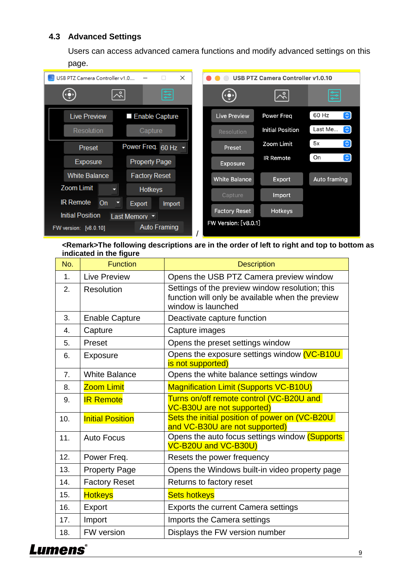#### <span id="page-9-0"></span>**4.3 Advanced Settings**

Users can access advanced camera functions and modify advanced settings on this page.



**<Remark>The following descriptions are in the order of left to right and top to bottom as indicated in the figure**

| No. | <b>Function</b>         | <b>Description</b>                                                                                                        |
|-----|-------------------------|---------------------------------------------------------------------------------------------------------------------------|
| 1.  | <b>Live Preview</b>     | Opens the USB PTZ Camera preview window                                                                                   |
| 2.  | <b>Resolution</b>       | Settings of the preview window resolution; this<br>function will only be available when the preview<br>window is launched |
| 3.  | <b>Enable Capture</b>   | Deactivate capture function                                                                                               |
| 4.  | Capture                 | Capture images                                                                                                            |
| 5.  | Preset                  | Opens the preset settings window                                                                                          |
| 6.  | <b>Exposure</b>         | Opens the exposure settings window (VC-B10U<br>is not supported)                                                          |
| 7.  | <b>White Balance</b>    | Opens the white balance settings window                                                                                   |
| 8.  | <b>Zoom Limit</b>       | <b>Magnification Limit (Supports VC-B10U)</b>                                                                             |
| 9.  | <b>IR Remote</b>        | Turns on/off remote control (VC-B20U and<br><b>VC-B30U are not supported)</b>                                             |
| 10. | <b>Initial Position</b> | Sets the initial position of power on (VC-B20U<br>and VC-B30U are not supported)                                          |
| 11. | <b>Auto Focus</b>       | Opens the auto focus settings window (Supports<br>VC-B20U and VC-B30U)                                                    |
| 12. | Power Freq.             | Resets the power frequency                                                                                                |
| 13. | <b>Property Page</b>    | Opens the Windows built-in video property page                                                                            |
| 14. | <b>Factory Reset</b>    | Returns to factory reset                                                                                                  |
| 15. | <b>Hotkeys</b>          | <b>Sets hotkeys</b>                                                                                                       |
| 16. | Export                  | <b>Exports the current Camera settings</b>                                                                                |
| 17. | Import                  | Imports the Camera settings                                                                                               |
| 18. | <b>FW</b> version       | Displays the FW version number                                                                                            |

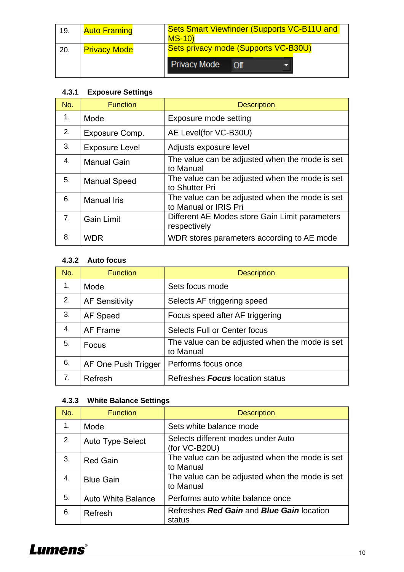| 19. | <b>Auto Framing</b> | Sets Smart Viewfinder (Supports VC-B11U and<br>$MS-10$ |
|-----|---------------------|--------------------------------------------------------|
| 20. | <b>Privacy Mode</b> | Sets privacy mode (Supports VC-B30U)                   |
|     |                     | <b>Privacy Mode</b><br>$\overline{C}$                  |

#### **4.3.1 Exposure Settings**

| No.            | <b>Function</b>       | <b>Description</b>                                                      |
|----------------|-----------------------|-------------------------------------------------------------------------|
| 1.             | Mode                  | Exposure mode setting                                                   |
| 2.             | Exposure Comp.        | AE Level(for VC-B30U)                                                   |
| 3.             | <b>Exposure Level</b> | Adjusts exposure level                                                  |
| 4.             | <b>Manual Gain</b>    | The value can be adjusted when the mode is set<br>to Manual             |
| 5.             | <b>Manual Speed</b>   | The value can be adjusted when the mode is set<br>to Shutter Pri        |
| 6.             | <b>Manual Iris</b>    | The value can be adjusted when the mode is set<br>to Manual or IRIS Pri |
| 7 <sub>1</sub> | <b>Gain Limit</b>     | Different AE Modes store Gain Limit parameters<br>respectively          |
| 8.             | <b>WDR</b>            | WDR stores parameters according to AE mode                              |

#### **4.3.2 Auto focus**

| No. | <b>Function</b>       | <b>Description</b>                                          |
|-----|-----------------------|-------------------------------------------------------------|
| 1.  | Mode                  | Sets focus mode                                             |
| 2.  | <b>AF Sensitivity</b> | Selects AF triggering speed                                 |
| 3.  | AF Speed              | Focus speed after AF triggering                             |
| 4.  | AF Frame              | <b>Selects Full or Center focus</b>                         |
| 5.  | Focus                 | The value can be adjusted when the mode is set<br>to Manual |
| 6.  | AF One Push Trigger   | Performs focus once                                         |
| 7.  | Refresh               | Refreshes <b>Focus</b> location status                      |

### **4.3.3 White Balance Settings**

| No. | <b>Function</b>           | <b>Description</b>                                          |
|-----|---------------------------|-------------------------------------------------------------|
| 1.  | Mode                      | Sets white balance mode                                     |
| 2.  | <b>Auto Type Select</b>   | Selects different modes under Auto<br>(for VC-B20U)         |
| 3.  | <b>Red Gain</b>           | The value can be adjusted when the mode is set<br>to Manual |
| 4.  | <b>Blue Gain</b>          | The value can be adjusted when the mode is set<br>to Manual |
| 5.  | <b>Auto White Balance</b> | Performs auto white balance once                            |
| 6.  | Refresh                   | Refreshes Red Gain and Blue Gain location<br>status         |

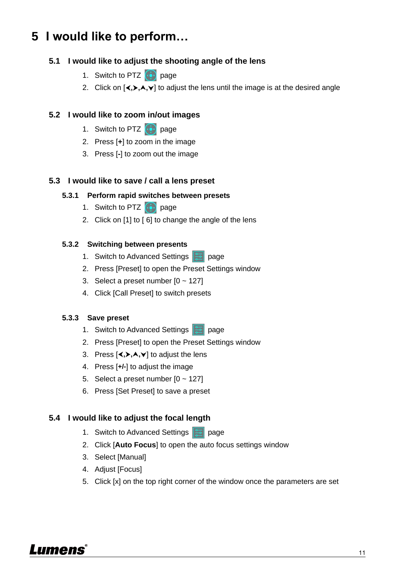### <span id="page-11-0"></span>**5 I would like to perform…**

#### <span id="page-11-1"></span>**5.1 I would like to adjust the shooting angle of the lens**

- 1. Switch to PTZ  $\bigodot$  page
- 2. Click on  $\{\langle,\rangle,\land,\lor\}$  to adjust the lens until the image is at the desired angle

#### <span id="page-11-2"></span>**5.2 I would like to zoom in/out images**

- 1. Switch to PTZ  $\bigcirc$  page
- 2. Press [**+**] to zoom in the image
- 3. Press [**-**] to zoom out the image

#### <span id="page-11-3"></span>**5.3 I would like to save / call a lens preset**

#### **5.3.1 Perform rapid switches between presets**

- 1. Switch to PTZ  $\bigcirc$  page
- 2. Click on [1] to [ 6] to change the angle of the lens

#### **5.3.2 Switching between presents**

- 1. Switch to Advanced Settings **Page**
- 2. Press [Preset] to open the Preset Settings window
- 3. Select a preset number  $[0 \sim 127]$
- 4. Click [Call Preset] to switch presets

#### **5.3.3 Save preset**

- 1. Switch to Advanced Settings **page**
- 2. Press [Preset] to open the Preset Settings window
- 3. Press  $\left[\langle \bullet, \bullet, \bullet \rangle\right]$  to adjust the lens
- 4. Press [**+/-**] to adjust the image
- 5. Select a preset number  $[0 127]$
- 6. Press [Set Preset] to save a preset

#### <span id="page-11-4"></span>**5.4 I would like to adjust the focal length**

- 1. Switch to Advanced Settings **Page**
- 2. Click [**Auto Focus**] to open the auto focus settings window
- 3. Select [Manual]
- 4. Adjust [Focus]
- 5. Click [x] on the top right corner of the window once the parameters are set